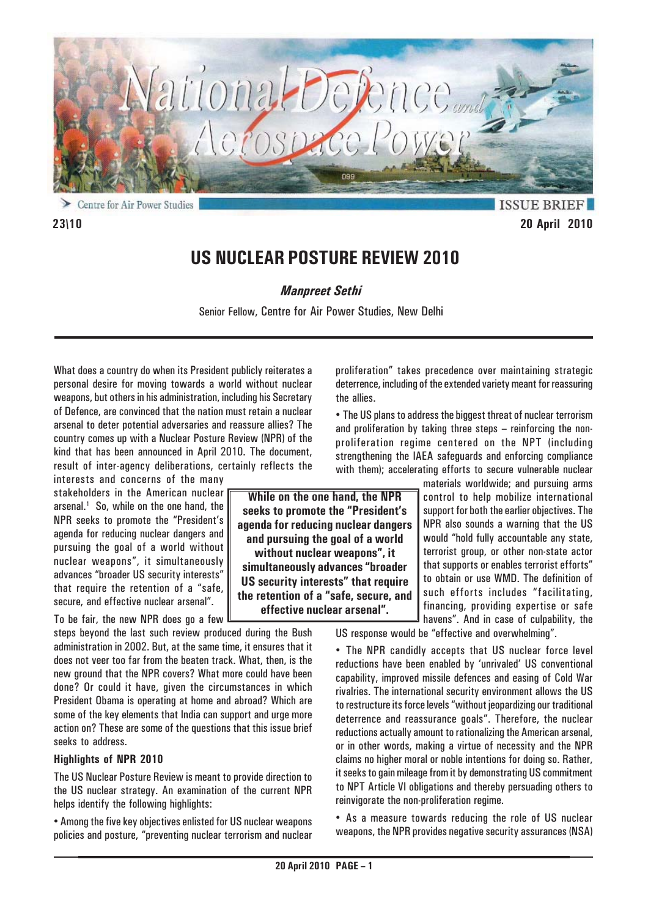

⋗ Centre for Air Power Studies

**ISSUE BRIEF 23\10 20 April 2010**

# **US NUCLEAR POSTURE REVIEW 2010**

*Manpreet Sethi*

Senior Fellow, Centre for Air Power Studies, New Delhi

What does a country do when its President publicly reiterates a personal desire for moving towards a world without nuclear weapons, but others in his administration, including his Secretary of Defence, are convinced that the nation must retain a nuclear arsenal to deter potential adversaries and reassure allies? The country comes up with a Nuclear Posture Review (NPR) of the kind that has been announced in April 2010. The document, result of inter-agency deliberations, certainly reflects the

interests and concerns of the many stakeholders in the American nuclear arsenal.<sup>1</sup> So, while on the one hand, the NPR seeks to promote the "President's agenda for reducing nuclear dangers and pursuing the goal of a world without nuclear weapons", it simultaneously advances "broader US security interests" that require the retention of a "safe, secure, and effective nuclear arsenal".

To be fair, the new NPR does go a few

steps beyond the last such review produced during the Bush administration in 2002. But, at the same time, it ensures that it does not veer too far from the beaten track. What, then, is the new ground that the NPR covers? What more could have been done? Or could it have, given the circumstances in which President Obama is operating at home and abroad? Which are some of the key elements that India can support and urge more action on? These are some of the questions that this issue brief seeks to address.

### **Highlights of NPR 2010**

The US Nuclear Posture Review is meant to provide direction to the US nuclear strategy. An examination of the current NPR helps identify the following highlights:

• Among the five key objectives enlisted for US nuclear weapons policies and posture, "preventing nuclear terrorism and nuclear proliferation" takes precedence over maintaining strategic deterrence, including of the extended variety meant for reassuring the allies.

• The US plans to address the biggest threat of nuclear terrorism and proliferation by taking three steps – reinforcing the nonproliferation regime centered on the NPT (including strengthening the IAEA safeguards and enforcing compliance with them); accelerating efforts to secure vulnerable nuclear

materials worldwide; and pursuing arms control to help mobilize international support for both the earlier objectives. The NPR also sounds a warning that the US would "hold fully accountable any state, terrorist group, or other non-state actor that supports or enables terrorist efforts" to obtain or use WMD. The definition of such efforts includes "facilitating, financing, providing expertise or safe havens". And in case of culpability, the

US response would be "effective and overwhelming".

• The NPR candidly accepts that US nuclear force level reductions have been enabled by 'unrivaled' US conventional capability, improved missile defences and easing of Cold War rivalries. The international security environment allows the US to restructure its force levels "without jeopardizing our traditional deterrence and reassurance goals". Therefore, the nuclear reductions actually amount to rationalizing the American arsenal, or in other words, making a virtue of necessity and the NPR claims no higher moral or noble intentions for doing so. Rather, it seeks to gain mileage from it by demonstrating US commitment to NPT Article VI obligations and thereby persuading others to reinvigorate the non-proliferation regime.

• As a measure towards reducing the role of US nuclear weapons, the NPR provides negative security assurances (NSA)

**While on the one hand, the NPR seeks to promote the "President's agenda for reducing nuclear dangers and pursuing the goal of a world without nuclear weapons", it simultaneously advances "broader US security interests" that require the retention of a "safe, secure, and effective nuclear arsenal".**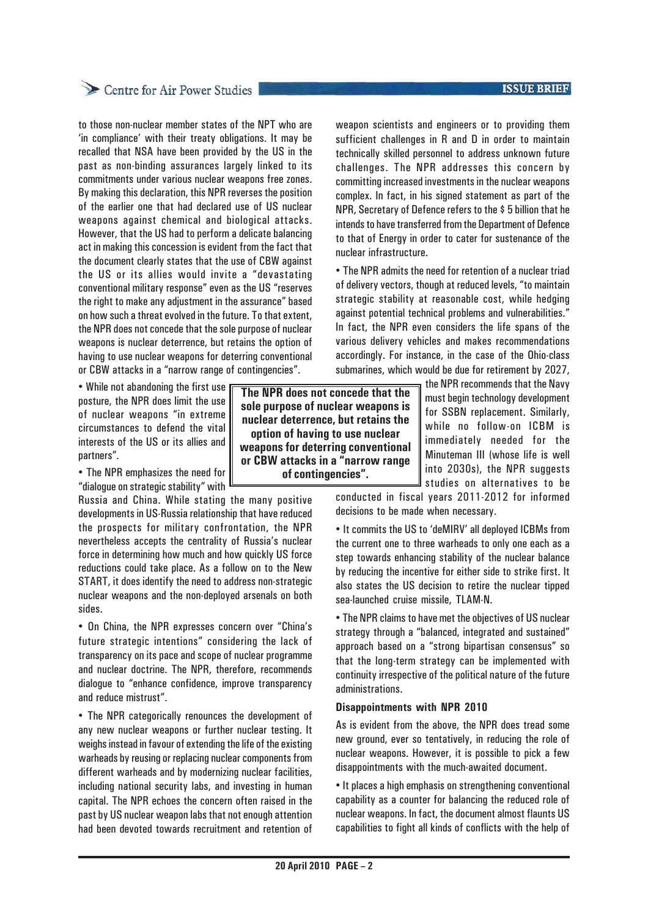# Centre for Air Power Studies

to those non-nuclear member states of the NPT who are 'in compliance' with their treaty obligations. It may be recalled that NSA have been provided by the US in the past as non-binding assurances largely linked to its commitments under various nuclear weapons free zones. By making this declaration, this NPR reverses the position of the earlier one that had declared use of US nuclear weapons against chemical and biological attacks. However, that the US had to perform a delicate balancing act in making this concession is evident from the fact that the document clearly states that the use of CBW against the US or its allies would invite a "devastating conventional military response" even as the US "reserves the right to make any adjustment in the assurance" based on how such a threat evolved in the future. To that extent, the NPR does not concede that the sole purpose of nuclear weapons is nuclear deterrence, but retains the option of having to use nuclear weapons for deterring conventional or CBW attacks in a "narrow range of contingencies".

• While not abandoning the first use posture, the NPR does limit the use of nuclear weapons "in extreme circumstances to defend the vital interests of the US or its allies and partners".

• The NPR emphasizes the need for "dialogue on strategic stability" with

Russia and China. While stating the many positive developments in US-Russia relationship that have reduced the prospects for military confrontation, the NPR nevertheless accepts the centrality of Russia's nuclear force in determining how much and how quickly US force reductions could take place. As a follow on to the New START, it does identify the need to address non-strategic nuclear weapons and the non-deployed arsenals on both sides.

• On China, the NPR expresses concern over "China's future strategic intentions" considering the lack of transparency on its pace and scope of nuclear programme and nuclear doctrine. The NPR, therefore, recommends dialogue to "enhance confidence, improve transparency and reduce mistrust".

• The NPR categorically renounces the development of any new nuclear weapons or further nuclear testing. It weighs instead in favour of extending the life of the existing warheads by reusing or replacing nuclear components from different warheads and by modernizing nuclear facilities, including national security labs, and investing in human capital. The NPR echoes the concern often raised in the past by US nuclear weapon labs that not enough attention had been devoted towards recruitment and retention of

**The NPR does not concede that the sole purpose of nuclear weapons is nuclear deterrence, but retains the option of having to use nuclear weapons for deterring conventional or CBW attacks in a "narrow range of contingencies".**

weapon scientists and engineers or to providing them sufficient challenges in R and D in order to maintain technically skilled personnel to address unknown future challenges. The NPR addresses this concern by committing increased investments in the nuclear weapons complex. In fact, in his signed statement as part of the NPR, Secretary of Defence refers to the \$ 5 billion that he intends to have transferred from the Department of Defence to that of Energy in order to cater for sustenance of the nuclear infrastructure.

• The NPR admits the need for retention of a nuclear triad of delivery vectors, though at reduced levels, "to maintain strategic stability at reasonable cost, while hedging against potential technical problems and vulnerabilities." In fact, the NPR even considers the life spans of the various delivery vehicles and makes recommendations accordingly. For instance, in the case of the Ohio-class submarines, which would be due for retirement by 2027,

the NPR recommends that the Navy must begin technology development for SSBN replacement. Similarly, while no follow-on ICBM is immediately needed for the Minuteman III (whose life is well into 2030s), the NPR suggests studies on alternatives to be

conducted in fiscal years 2011-2012 for informed decisions to be made when necessary.

• It commits the US to 'deMIRV' all deployed ICBMs from the current one to three warheads to only one each as a step towards enhancing stability of the nuclear balance by reducing the incentive for either side to strike first. It also states the US decision to retire the nuclear tipped sea-launched cruise missile, TLAM-N.

• The NPR claims to have met the objectives of US nuclear strategy through a "balanced, integrated and sustained" approach based on a "strong bipartisan consensus" so that the long-term strategy can be implemented with continuity irrespective of the political nature of the future administrations.

### **Disappointments with NPR 2010**

As is evident from the above, the NPR does tread some new ground, ever so tentatively, in reducing the role of nuclear weapons. However, it is possible to pick a few disappointments with the much-awaited document.

• It places a high emphasis on strengthening conventional capability as a counter for balancing the reduced role of nuclear weapons. In fact, the document almost flaunts US capabilities to fight all kinds of conflicts with the help of

### **ISSUE BRIEF**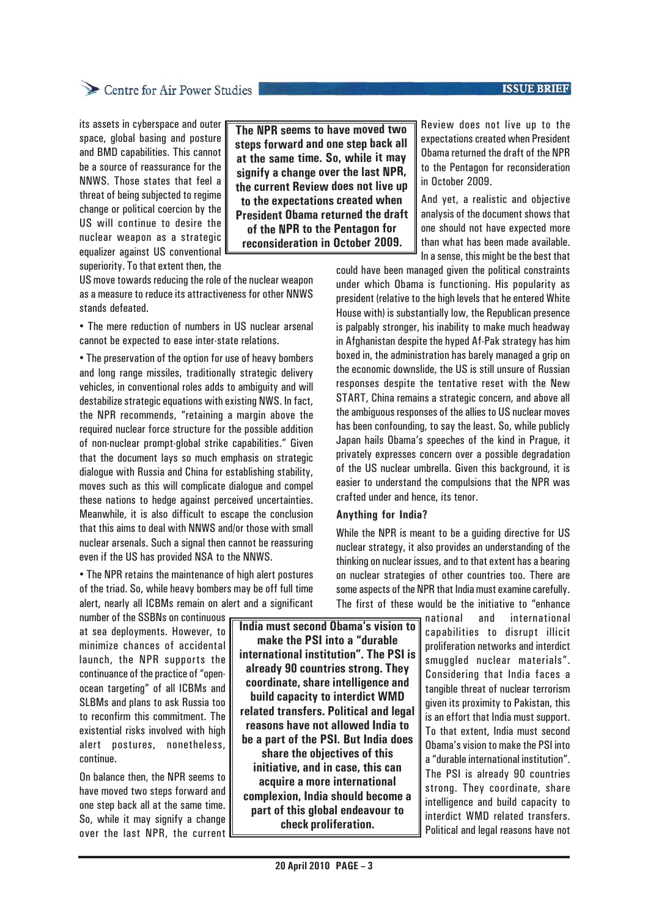### **ISSUE BRIEF**

# Centre for Air Power Studies

its assets in cyberspace and outer space, global basing and posture and BMD capabilities. This cannot be a source of reassurance for the NNWS. Those states that feel a threat of being subjected to regime change or political coercion by the US will continue to desire the nuclear weapon as a strategic equalizer against US conventional superiority. To that extent then, the

**The NPR seems to have moved two steps forward and one step back all at the same time. So, while it may signify a change over the last NPR, the current Review does not live up to the expectations created when President Obama returned the draft of the NPR to the Pentagon for reconsideration in October 2009.**

US move towards reducing the role of the nuclear weapon as a measure to reduce its attractiveness for other NNWS stands defeated.

• The mere reduction of numbers in US nuclear arsenal cannot be expected to ease inter-state relations.

• The preservation of the option for use of heavy bombers and long range missiles, traditionally strategic delivery vehicles, in conventional roles adds to ambiguity and will destabilize strategic equations with existing NWS. In fact, the NPR recommends, "retaining a margin above the required nuclear force structure for the possible addition of non-nuclear prompt-global strike capabilities." Given that the document lays so much emphasis on strategic dialogue with Russia and China for establishing stability, moves such as this will complicate dialogue and compel these nations to hedge against perceived uncertainties. Meanwhile, it is also difficult to escape the conclusion that this aims to deal with NNWS and/or those with small nuclear arsenals. Such a signal then cannot be reassuring even if the US has provided NSA to the NNWS.

• The NPR retains the maintenance of high alert postures of the triad. So, while heavy bombers may be off full time alert, nearly all ICBMs remain on alert and a significant

number of the SSBNs on continuous at sea deployments. However, to minimize chances of accidental launch, the NPR supports the continuance of the practice of "openocean targeting" of all ICBMs and SLBMs and plans to ask Russia too to reconfirm this commitment. The existential risks involved with high alert postures, nonetheless, continue.

On balance then, the NPR seems to have moved two steps forward and one step back all at the same time. So, while it may signify a change over the last NPR, the current

**India must second Obama's vision to make the PSI into a "durable international institution". The PSI is already 90 countries strong. They coordinate, share intelligence and build capacity to interdict WMD related transfers. Political and legal reasons have not allowed India to be a part of the PSI. But India does share the objectives of this initiative, and in case, this can acquire a more international complexion, India should become a part of this global endeavour to check proliferation.**

Review does not live up to the expectations created when President Obama returned the draft of the NPR to the Pentagon for reconsideration in October 2009.

And yet, a realistic and objective analysis of the document shows that one should not have expected more than what has been made available. In a sense, this might be the best that

could have been managed given the political constraints under which Obama is functioning. His popularity as president (relative to the high levels that he entered White House with) is substantially low, the Republican presence is palpably stronger, his inability to make much headway in Afghanistan despite the hyped Af-Pak strategy has him boxed in, the administration has barely managed a grip on the economic downslide, the US is still unsure of Russian responses despite the tentative reset with the New START, China remains a strategic concern, and above all the ambiguous responses of the allies to US nuclear moves has been confounding, to say the least. So, while publicly Japan hails Obama's speeches of the kind in Prague, it privately expresses concern over a possible degradation of the US nuclear umbrella. Given this background, it is easier to understand the compulsions that the NPR was crafted under and hence, its tenor.

#### **Anything for India?**

While the NPR is meant to be a guiding directive for US nuclear strategy, it also provides an understanding of the thinking on nuclear issues, and to that extent has a bearing on nuclear strategies of other countries too. There are some aspects of the NPR that India must examine carefully. The first of these would be the initiative to "enhance

> national and international capabilities to disrupt illicit proliferation networks and interdict smuggled nuclear materials". Considering that India faces a tangible threat of nuclear terrorism given its proximity to Pakistan, this is an effort that India must support. To that extent, India must second Obama's vision to make the PSI into a "durable international institution". The PSI is already 90 countries strong. They coordinate, share intelligence and build capacity to interdict WMD related transfers. Political and legal reasons have not